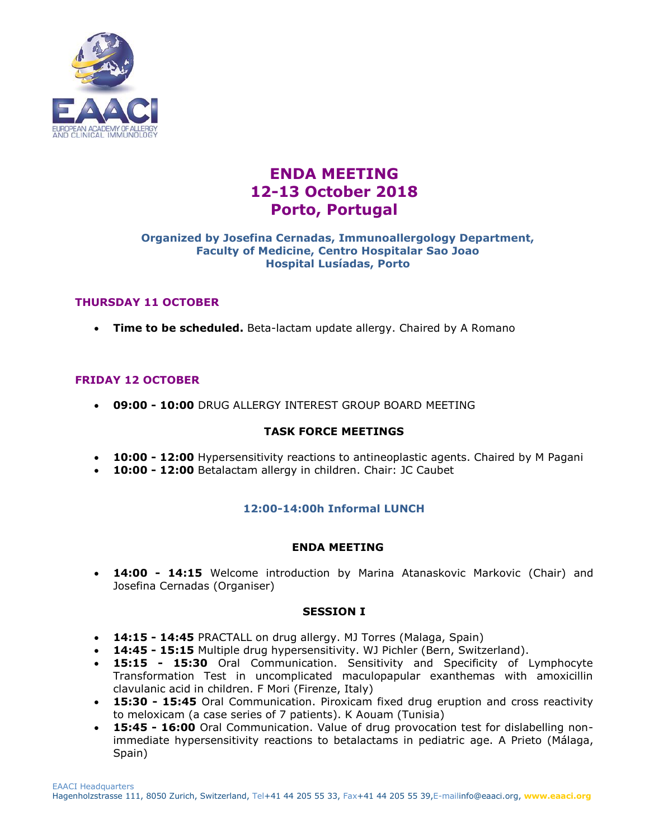

# **ENDA MEETING 12-13 October 2018 Porto, Portugal**

### **Organized by Josefina Cernadas, Immunoallergology Department, Faculty of Medicine, Centro Hospitalar Sao Joao Hospital Lusíadas, Porto**

# **THURSDAY 11 OCTOBER**

**Time to be scheduled.** Beta-lactam update allergy. Chaired by A Romano

## **FRIDAY 12 OCTOBER**

**09:00 - 10:00** DRUG ALLERGY INTEREST GROUP BOARD MEETING

## **TASK FORCE MEETINGS**

- **10:00 - 12:00** Hypersensitivity reactions to antineoplastic agents. Chaired by M Pagani
- **10:00 - 12:00** Betalactam allergy in children. Chair: JC Caubet

## **12:00-14:00h Informal LUNCH**

## **ENDA MEETING**

 **14:00 - 14:15** Welcome introduction by Marina Atanaskovic Markovic (Chair) and Josefina Cernadas (Organiser)

#### **SESSION I**

- **14:15 - 14:45** PRACTALL on drug allergy. MJ Torres (Malaga, Spain)
- **14:45 - 15:15** Multiple drug hypersensitivity. WJ Pichler (Bern, Switzerland).
- **15:15 - 15:30** Oral Communication. Sensitivity and Specificity of Lymphocyte Transformation Test in uncomplicated maculopapular exanthemas with amoxicillin clavulanic acid in children. F Mori (Firenze, Italy)
- **15:30 - 15:45** Oral Communication. Piroxicam fixed drug eruption and cross reactivity to meloxicam (a case series of 7 patients). K Aouam (Tunisia)
- **15:45 - 16:00** Oral Communication. Value of drug provocation test for dislabelling nonimmediate hypersensitivity reactions to betalactams in pediatric age. A Prieto (Málaga, Spain)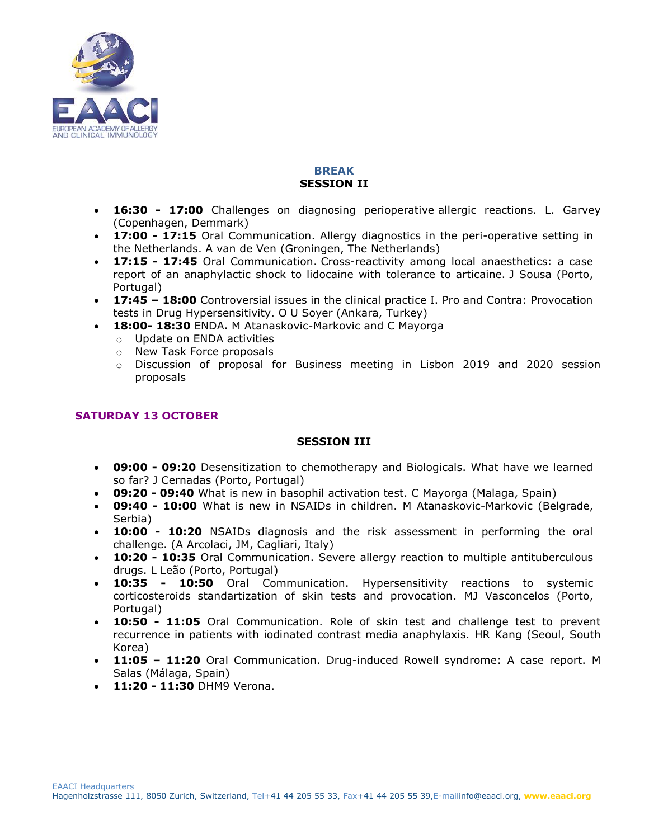

# **BREAK SESSION II**

- **16:30 - 17:00** Challenges on diagnosing perioperative allergic reactions. L. Garvey (Copenhagen, Demmark)
- **17:00 - 17:15** Oral Communication. Allergy diagnostics in the peri-operative setting in the Netherlands. A van de Ven (Groningen, The Netherlands)
- **17:15 - 17:45** Oral Communication. Cross-reactivity among local anaesthetics: a case report of an anaphylactic shock to lidocaine with tolerance to articaine. J Sousa (Porto, Portugal)
- **17:45 – 18:00** Controversial issues in the clinical practice I. Pro and Contra: Provocation tests in Drug Hypersensitivity. O U Soyer (Ankara, Turkey)
- **18:00- 18:30** ENDA**.** M Atanaskovic-Markovic and C Mayorga
	- o Update on ENDA activities
	- o New Task Force proposals
	- o Discussion of proposal for Business meeting in Lisbon 2019 and 2020 session proposals

# **SATURDAY 13 OCTOBER**

#### **SESSION III**

- **09:00 - 09:20** Desensitization to chemotherapy and Biologicals. What have we learned so far? J Cernadas (Porto, Portugal)
- **09:20 - 09:40** What is new in basophil activation test. C Mayorga (Malaga, Spain)
- **09:40 - 10:00** What is new in NSAIDs in children. M Atanaskovic-Markovic (Belgrade, Serbia)
- **10:00 - 10:20** NSAIDs diagnosis and the risk assessment in performing the oral challenge. (A Arcolaci, JM, Cagliari, Italy)
- **10:20 - 10:35** Oral Communication. Severe allergy reaction to multiple antituberculous drugs. L Leão (Porto, Portugal)
- **10:35 - 10:50** Oral Communication. Hypersensitivity reactions to systemic corticosteroids standartization of skin tests and provocation. MJ Vasconcelos (Porto, Portugal)
- **10:50 - 11:05** Oral Communication. Role of skin test and challenge test to prevent recurrence in patients with iodinated contrast media anaphylaxis. HR Kang (Seoul, South Korea)
- **11:05 – 11:20** Oral Communication. Drug-induced Rowell syndrome: A case report. M Salas (Málaga, Spain)
- **11:20 - 11:30** DHM9 Verona.